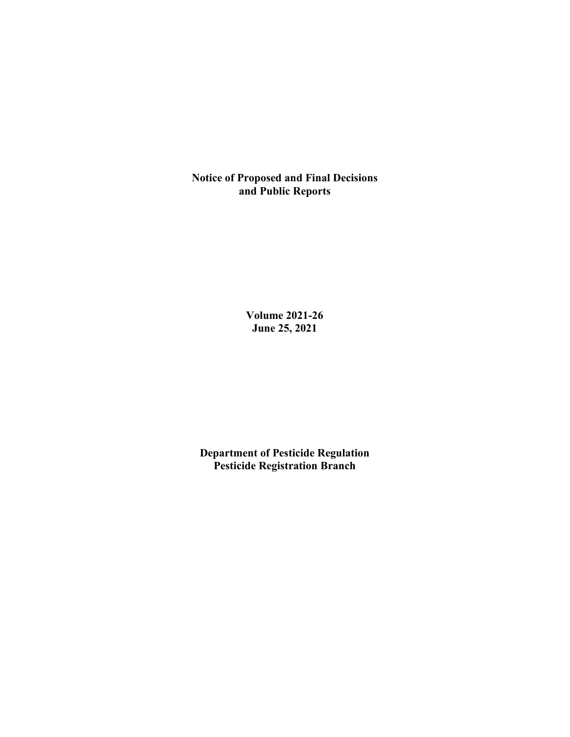**Notice of Proposed and Final Decisions and Public Reports**

> **Volume 2021-26 June 25, 2021**

**Department of Pesticide Regulation Pesticide Registration Branch**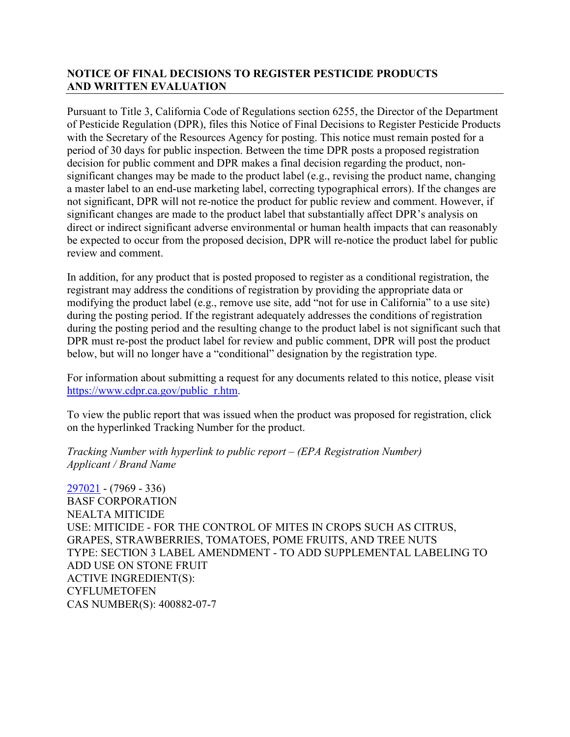# **NOTICE OF FINAL DECISIONS TO REGISTER PESTICIDE PRODUCTS AND WRITTEN EVALUATION**

Pursuant to Title 3, California Code of Regulations section 6255, the Director of the Department of Pesticide Regulation (DPR), files this Notice of Final Decisions to Register Pesticide Products with the Secretary of the Resources Agency for posting. This notice must remain posted for a period of 30 days for public inspection. Between the time DPR posts a proposed registration decision for public comment and DPR makes a final decision regarding the product, nonsignificant changes may be made to the product label (e.g., revising the product name, changing a master label to an end-use marketing label, correcting typographical errors). If the changes are not significant, DPR will not re-notice the product for public review and comment. However, if significant changes are made to the product label that substantially affect DPR's analysis on direct or indirect significant adverse environmental or human health impacts that can reasonably be expected to occur from the proposed decision, DPR will re-notice the product label for public review and comment.

In addition, for any product that is posted proposed to register as a conditional registration, the registrant may address the conditions of registration by providing the appropriate data or modifying the product label (e.g., remove use site, add "not for use in California" to a use site) during the posting period. If the registrant adequately addresses the conditions of registration during the posting period and the resulting change to the product label is not significant such that DPR must re-post the product label for review and public comment, DPR will post the product below, but will no longer have a "conditional" designation by the registration type.

For information about submitting a request for any documents related to this notice, please visit [https://www.cdpr.ca.gov/public\\_r.htm.](https://www.cdpr.ca.gov/public_r.htm)

To view the public report that was issued when the product was proposed for registration, click on the hyperlinked Tracking Number for the product.

*Tracking Number with hyperlink to public report – (EPA Registration Number) Applicant / Brand Name*

[297021](https://www.cdpr.ca.gov/docs/registration/nod/public_reports/297021.pdf) - (7969 - 336) BASF CORPORATION NEALTA MITICIDE USE: MITICIDE - FOR THE CONTROL OF MITES IN CROPS SUCH AS CITRUS, GRAPES, STRAWBERRIES, TOMATOES, POME FRUITS, AND TREE NUTS TYPE: SECTION 3 LABEL AMENDMENT - TO ADD SUPPLEMENTAL LABELING TO ADD USE ON STONE FRUIT ACTIVE INGREDIENT(S): **CYFLUMETOFEN** CAS NUMBER(S): 400882-07-7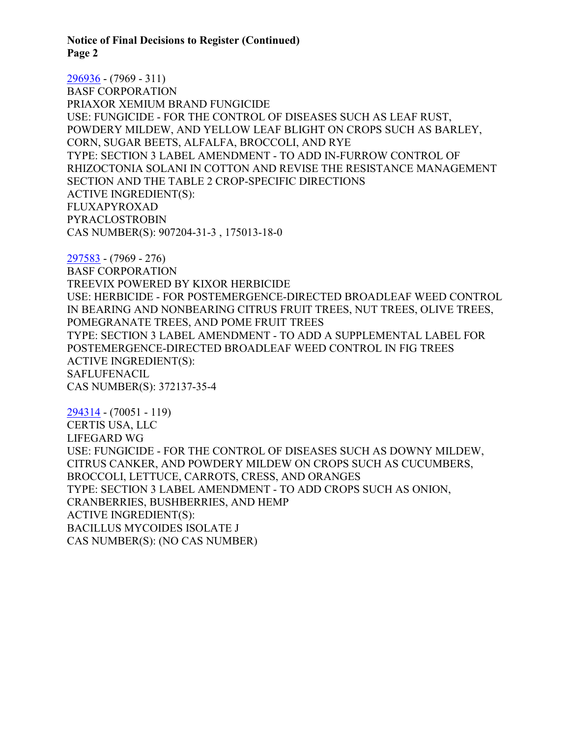**Notice of Final Decisions to Register (Continued) Page 2**

[296936](https://www.cdpr.ca.gov/docs/registration/nod/public_reports/296936.pdf) - (7969 - 311) BASF CORPORATION PRIAXOR XEMIUM BRAND FUNGICIDE USE: FUNGICIDE - FOR THE CONTROL OF DISEASES SUCH AS LEAF RUST, POWDERY MILDEW, AND YELLOW LEAF BLIGHT ON CROPS SUCH AS BARLEY, CORN, SUGAR BEETS, ALFALFA, BROCCOLI, AND RYE TYPE: SECTION 3 LABEL AMENDMENT - TO ADD IN-FURROW CONTROL OF RHIZOCTONIA SOLANI IN COTTON AND REVISE THE RESISTANCE MANAGEMENT SECTION AND THE TABLE 2 CROP-SPECIFIC DIRECTIONS ACTIVE INGREDIENT(S): FLUXAPYROXAD PYRACLOSTROBIN CAS NUMBER(S): 907204-31-3 , 175013-18-0

[297583](https://www.cdpr.ca.gov/docs/registration/nod/public_reports/297583.pdf) - (7969 - 276) BASF CORPORATION TREEVIX POWERED BY KIXOR HERBICIDE USE: HERBICIDE - FOR POSTEMERGENCE-DIRECTED BROADLEAF WEED CONTROL IN BEARING AND NONBEARING CITRUS FRUIT TREES, NUT TREES, OLIVE TREES, POMEGRANATE TREES, AND POME FRUIT TREES TYPE: SECTION 3 LABEL AMENDMENT - TO ADD A SUPPLEMENTAL LABEL FOR POSTEMERGENCE-DIRECTED BROADLEAF WEED CONTROL IN FIG TREES ACTIVE INGREDIENT(S): SAFLUFENACIL CAS NUMBER(S): 372137-35-4

[294314](https://www.cdpr.ca.gov/docs/registration/nod/public_reports/294314.pdf) - (70051 - 119) CERTIS USA, LLC LIFEGARD WG USE: FUNGICIDE - FOR THE CONTROL OF DISEASES SUCH AS DOWNY MILDEW, CITRUS CANKER, AND POWDERY MILDEW ON CROPS SUCH AS CUCUMBERS, BROCCOLI, LETTUCE, CARROTS, CRESS, AND ORANGES TYPE: SECTION 3 LABEL AMENDMENT - TO ADD CROPS SUCH AS ONION, CRANBERRIES, BUSHBERRIES, AND HEMP ACTIVE INGREDIENT(S): BACILLUS MYCOIDES ISOLATE J CAS NUMBER(S): (NO CAS NUMBER)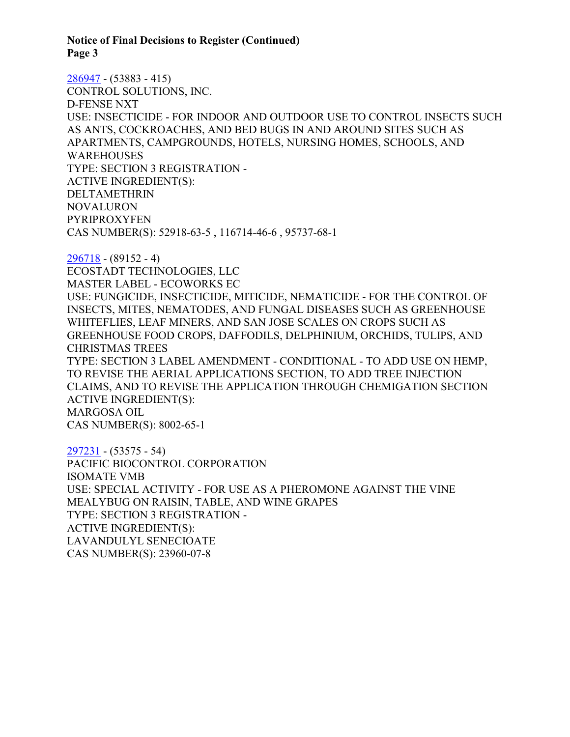#### **Notice of Final Decisions to Register (Continued) Page 3**

[286947](https://www.cdpr.ca.gov/docs/registration/nod/public_reports/286947.pdf) - (53883 - 415) CONTROL SOLUTIONS, INC. D-FENSE NXT USE: INSECTICIDE - FOR INDOOR AND OUTDOOR USE TO CONTROL INSECTS SUCH AS ANTS, COCKROACHES, AND BED BUGS IN AND AROUND SITES SUCH AS APARTMENTS, CAMPGROUNDS, HOTELS, NURSING HOMES, SCHOOLS, AND **WAREHOUSES** TYPE: SECTION 3 REGISTRATION - ACTIVE INGREDIENT(S): DELTAMETHRIN NOVALURON PYRIPROXYFEN CAS NUMBER(S): 52918-63-5 , 116714-46-6 , 95737-68-1

[296718](https://www.cdpr.ca.gov/docs/registration/nod/public_reports/296718.pdf) - (89152 - 4) ECOSTADT TECHNOLOGIES, LLC MASTER LABEL - ECOWORKS EC USE: FUNGICIDE, INSECTICIDE, MITICIDE, NEMATICIDE - FOR THE CONTROL OF INSECTS, MITES, NEMATODES, AND FUNGAL DISEASES SUCH AS GREENHOUSE WHITEFLIES, LEAF MINERS, AND SAN JOSE SCALES ON CROPS SUCH AS GREENHOUSE FOOD CROPS, DAFFODILS, DELPHINIUM, ORCHIDS, TULIPS, AND CHRISTMAS TREES TYPE: SECTION 3 LABEL AMENDMENT - CONDITIONAL - TO ADD USE ON HEMP, TO REVISE THE AERIAL APPLICATIONS SECTION, TO ADD TREE INJECTION CLAIMS, AND TO REVISE THE APPLICATION THROUGH CHEMIGATION SECTION ACTIVE INGREDIENT(S): MARGOSA OIL CAS NUMBER(S): 8002-65-1

[297231](https://www.cdpr.ca.gov/docs/registration/nod/public_reports/297231.pdf) - (53575 - 54) PACIFIC BIOCONTROL CORPORATION ISOMATE VMB USE: SPECIAL ACTIVITY - FOR USE AS A PHEROMONE AGAINST THE VINE MEALYBUG ON RAISIN, TABLE, AND WINE GRAPES TYPE: SECTION 3 REGISTRATION - ACTIVE INGREDIENT(S): LAVANDULYL SENECIOATE CAS NUMBER(S): 23960-07-8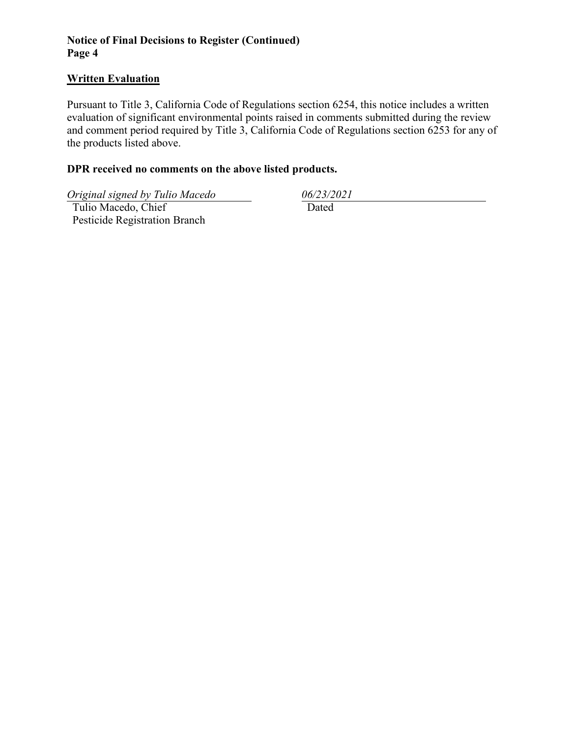# **Notice of Final Decisions to Register (Continued) Page 4**

## **Written Evaluation**

Pursuant to Title 3, California Code of Regulations section 6254, this notice includes a written evaluation of significant environmental points raised in comments submitted during the review and comment period required by Title 3, California Code of Regulations section 6253 for any of the products listed above.

# **DPR received no comments on the above listed products.**

*Original signed by Tulio Macedo 06/23/2021*

 Tulio Macedo, Chief Pesticide Registration Branch

Dated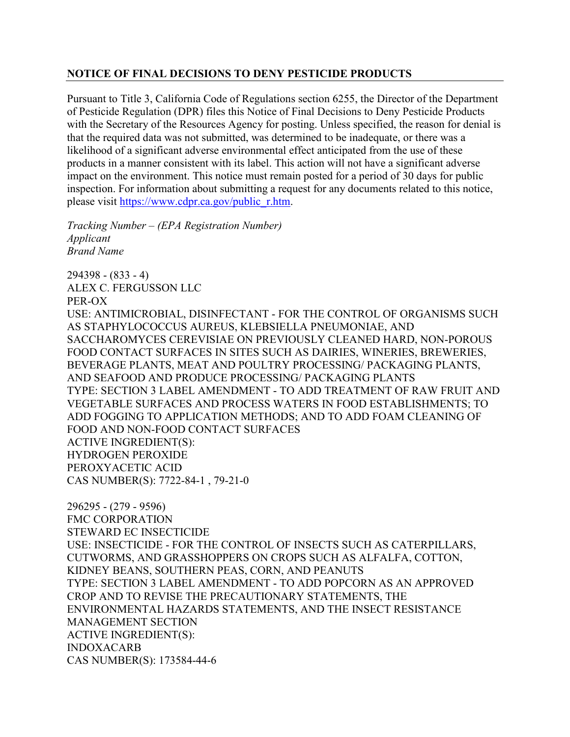## **NOTICE OF FINAL DECISIONS TO DENY PESTICIDE PRODUCTS**

Pursuant to Title 3, California Code of Regulations section 6255, the Director of the Department of Pesticide Regulation (DPR) files this Notice of Final Decisions to Deny Pesticide Products with the Secretary of the Resources Agency for posting. Unless specified, the reason for denial is that the required data was not submitted, was determined to be inadequate, or there was a likelihood of a significant adverse environmental effect anticipated from the use of these products in a manner consistent with its label. This action will not have a significant adverse impact on the environment. This notice must remain posted for a period of 30 days for public inspection. For information about submitting a request for any documents related to this notice, please visit [https://www.cdpr.ca.gov/public\\_r.htm.](https://www.cdpr.ca.gov/public_r.htm)

*Tracking Number – (EPA Registration Number) Applicant Brand Name*

294398 - (833 - 4) ALEX C. FERGUSSON LLC PER-OX USE: ANTIMICROBIAL, DISINFECTANT - FOR THE CONTROL OF ORGANISMS SUCH AS STAPHYLOCOCCUS AUREUS, KLEBSIELLA PNEUMONIAE, AND SACCHAROMYCES CEREVISIAE ON PREVIOUSLY CLEANED HARD, NON-POROUS FOOD CONTACT SURFACES IN SITES SUCH AS DAIRIES, WINERIES, BREWERIES, BEVERAGE PLANTS, MEAT AND POULTRY PROCESSING/ PACKAGING PLANTS, AND SEAFOOD AND PRODUCE PROCESSING/ PACKAGING PLANTS TYPE: SECTION 3 LABEL AMENDMENT - TO ADD TREATMENT OF RAW FRUIT AND VEGETABLE SURFACES AND PROCESS WATERS IN FOOD ESTABLISHMENTS; TO ADD FOGGING TO APPLICATION METHODS; AND TO ADD FOAM CLEANING OF FOOD AND NON-FOOD CONTACT SURFACES ACTIVE INGREDIENT(S): HYDROGEN PEROXIDE PEROXYACETIC ACID CAS NUMBER(S): 7722-84-1 , 79-21-0

296295 - (279 - 9596) FMC CORPORATION STEWARD EC INSECTICIDE USE: INSECTICIDE - FOR THE CONTROL OF INSECTS SUCH AS CATERPILLARS, CUTWORMS, AND GRASSHOPPERS ON CROPS SUCH AS ALFALFA, COTTON, KIDNEY BEANS, SOUTHERN PEAS, CORN, AND PEANUTS TYPE: SECTION 3 LABEL AMENDMENT - TO ADD POPCORN AS AN APPROVED CROP AND TO REVISE THE PRECAUTIONARY STATEMENTS, THE ENVIRONMENTAL HAZARDS STATEMENTS, AND THE INSECT RESISTANCE MANAGEMENT SECTION ACTIVE INGREDIENT(S): INDOXACARB CAS NUMBER(S): 173584-44-6